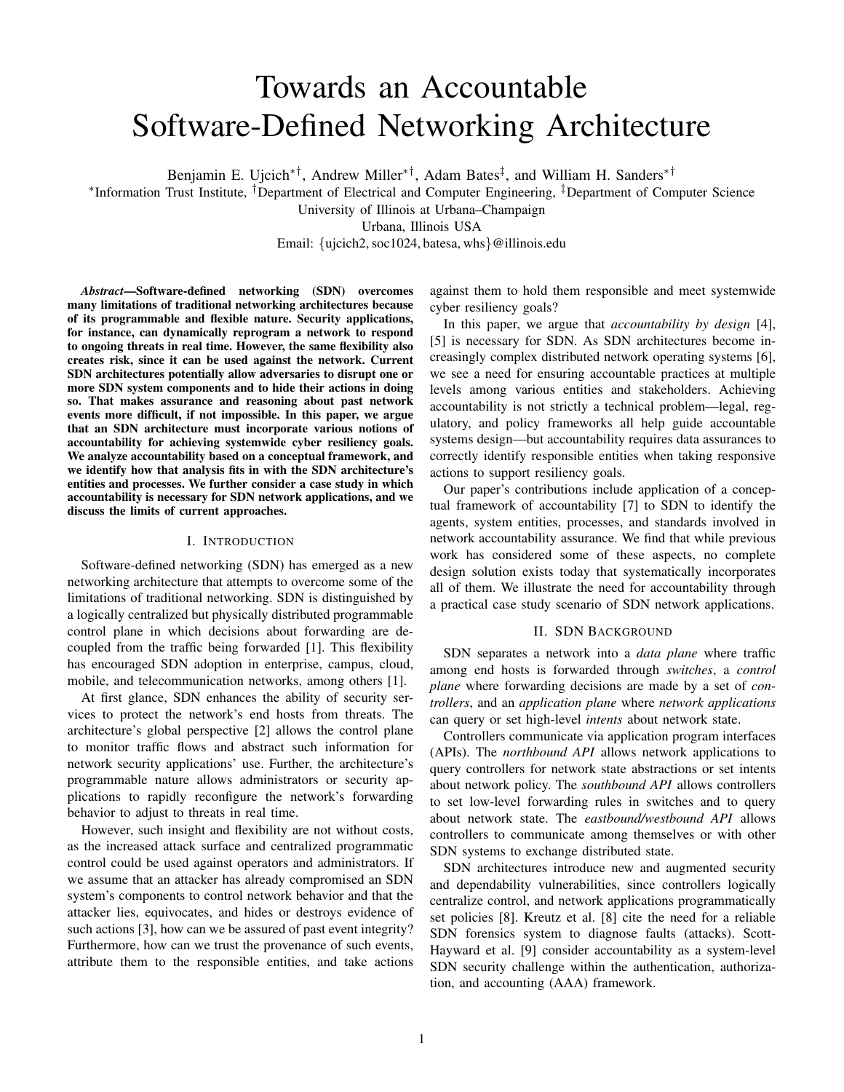# Towards an Accountable Software-Defined Networking Architecture

Benjamin E. Ujcich<sup>∗†</sup>, Andrew Miller<sup>∗†</sup>, Adam Bates<sup>‡</sup>, and William H. Sanders<sup>∗†</sup>

∗ Information Trust Institute, †Department of Electrical and Computer Engineering, ‡Department of Computer Science

University of Illinois at Urbana–Champaign

Urbana, Illinois USA

Email: {ujcich2, soc1024, batesa, whs}@illinois.edu

*Abstract*—Software-defined networking (SDN) overcomes many limitations of traditional networking architectures because of its programmable and flexible nature. Security applications, for instance, can dynamically reprogram a network to respond to ongoing threats in real time. However, the same flexibility also creates risk, since it can be used against the network. Current SDN architectures potentially allow adversaries to disrupt one or more SDN system components and to hide their actions in doing so. That makes assurance and reasoning about past network events more difficult, if not impossible. In this paper, we argue that an SDN architecture must incorporate various notions of accountability for achieving systemwide cyber resiliency goals. We analyze accountability based on a conceptual framework, and we identify how that analysis fits in with the SDN architecture's entities and processes. We further consider a case study in which accountability is necessary for SDN network applications, and we discuss the limits of current approaches.

#### I. INTRODUCTION

Software-defined networking (SDN) has emerged as a new networking architecture that attempts to overcome some of the limitations of traditional networking. SDN is distinguished by a logically centralized but physically distributed programmable control plane in which decisions about forwarding are decoupled from the traffic being forwarded [1]. This flexibility has encouraged SDN adoption in enterprise, campus, cloud, mobile, and telecommunication networks, among others [1].

At first glance, SDN enhances the ability of security services to protect the network's end hosts from threats. The architecture's global perspective [2] allows the control plane to monitor traffic flows and abstract such information for network security applications' use. Further, the architecture's programmable nature allows administrators or security applications to rapidly reconfigure the network's forwarding behavior to adjust to threats in real time.

However, such insight and flexibility are not without costs, as the increased attack surface and centralized programmatic control could be used against operators and administrators. If we assume that an attacker has already compromised an SDN system's components to control network behavior and that the attacker lies, equivocates, and hides or destroys evidence of such actions [3], how can we be assured of past event integrity? Furthermore, how can we trust the provenance of such events, attribute them to the responsible entities, and take actions

against them to hold them responsible and meet systemwide cyber resiliency goals?

In this paper, we argue that *accountability by design* [4], [5] is necessary for SDN. As SDN architectures become increasingly complex distributed network operating systems [6], we see a need for ensuring accountable practices at multiple levels among various entities and stakeholders. Achieving accountability is not strictly a technical problem—legal, regulatory, and policy frameworks all help guide accountable systems design—but accountability requires data assurances to correctly identify responsible entities when taking responsive actions to support resiliency goals.

Our paper's contributions include application of a conceptual framework of accountability [7] to SDN to identify the agents, system entities, processes, and standards involved in network accountability assurance. We find that while previous work has considered some of these aspects, no complete design solution exists today that systematically incorporates all of them. We illustrate the need for accountability through a practical case study scenario of SDN network applications.

#### II. SDN BACKGROUND

SDN separates a network into a *data plane* where traffic among end hosts is forwarded through *switches*, a *control plane* where forwarding decisions are made by a set of *controllers*, and an *application plane* where *network applications* can query or set high-level *intents* about network state.

Controllers communicate via application program interfaces (APIs). The *northbound API* allows network applications to query controllers for network state abstractions or set intents about network policy. The *southbound API* allows controllers to set low-level forwarding rules in switches and to query about network state. The *eastbound/westbound API* allows controllers to communicate among themselves or with other SDN systems to exchange distributed state.

SDN architectures introduce new and augmented security and dependability vulnerabilities, since controllers logically centralize control, and network applications programmatically set policies [8]. Kreutz et al. [8] cite the need for a reliable SDN forensics system to diagnose faults (attacks). Scott-Hayward et al. [9] consider accountability as a system-level SDN security challenge within the authentication, authorization, and accounting (AAA) framework.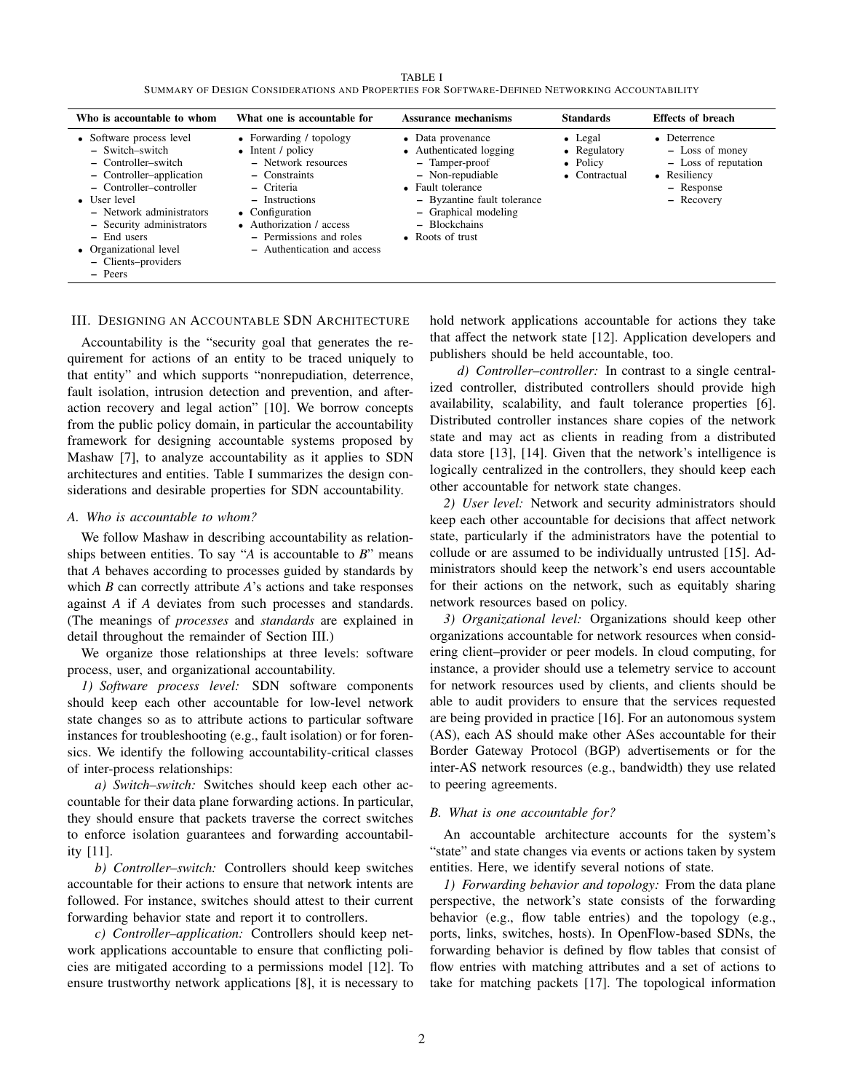| Who is accountable to whom                                                                                                                                                                                                                                                        | What one is accountable for                                                                                                                                                                                                         | <b>Assurance mechanisms</b>                                                                                                                                                                           | <b>Standards</b>                                                             | <b>Effects of breach</b>                                                                            |
|-----------------------------------------------------------------------------------------------------------------------------------------------------------------------------------------------------------------------------------------------------------------------------------|-------------------------------------------------------------------------------------------------------------------------------------------------------------------------------------------------------------------------------------|-------------------------------------------------------------------------------------------------------------------------------------------------------------------------------------------------------|------------------------------------------------------------------------------|-----------------------------------------------------------------------------------------------------|
| • Software process level<br>- Switch-switch<br>$-$ Controller-switch<br>- Controller-application<br>$-$ Controller-controller<br>• User level<br>- Network administrators<br>- Security administrators<br>- End users<br>• Organizational level<br>- Clients-providers<br>- Peers | • Forwarding / topology<br>• Intent / $policy$<br>- Network resources<br>$-$ Constraints<br>- Criteria<br>$-$ Instructions<br>• Configuration<br>• Authorization / access<br>- Permissions and roles<br>- Authentication and access | • Data provenance<br>• Authenticated logging<br>- Tamper-proof<br>- Non-repudiable<br>• Fault tolerance<br>- Byzantine fault tolerance<br>- Graphical modeling<br>$-$ Blockchains<br>• Roots of trust | $\bullet$ Legal<br>• Regulatory<br>$\bullet$ Policy<br>$\bullet$ Contractual | • Deterrence<br>- Loss of money<br>- Loss of reputation<br>• Resiliency<br>- Response<br>- Recovery |

#### TABLE I SUMMARY OF DESIGN CONSIDERATIONS AND PROPERTIES FOR SOFTWARE-DEFINED NETWORKING ACCOUNTABILITY

III. DESIGNING AN ACCOUNTABLE SDN ARCHITECTURE

Accountability is the "security goal that generates the requirement for actions of an entity to be traced uniquely to that entity" and which supports "nonrepudiation, deterrence, fault isolation, intrusion detection and prevention, and afteraction recovery and legal action" [10]. We borrow concepts from the public policy domain, in particular the accountability framework for designing accountable systems proposed by Mashaw [7], to analyze accountability as it applies to SDN architectures and entities. Table I summarizes the design considerations and desirable properties for SDN accountability.

## *A. Who is accountable to whom?*

We follow Mashaw in describing accountability as relationships between entities. To say "*A* is accountable to *B*" means that *A* behaves according to processes guided by standards by which *B* can correctly attribute *A*'s actions and take responses against *A* if *A* deviates from such processes and standards. (The meanings of *processes* and *standards* are explained in detail throughout the remainder of Section III.)

We organize those relationships at three levels: software process, user, and organizational accountability.

*1) Software process level:* SDN software components should keep each other accountable for low-level network state changes so as to attribute actions to particular software instances for troubleshooting (e.g., fault isolation) or for forensics. We identify the following accountability-critical classes of inter-process relationships:

*a) Switch–switch:* Switches should keep each other accountable for their data plane forwarding actions. In particular, they should ensure that packets traverse the correct switches to enforce isolation guarantees and forwarding accountability [11].

*b) Controller–switch:* Controllers should keep switches accountable for their actions to ensure that network intents are followed. For instance, switches should attest to their current forwarding behavior state and report it to controllers.

*c) Controller–application:* Controllers should keep network applications accountable to ensure that conflicting policies are mitigated according to a permissions model [12]. To ensure trustworthy network applications [8], it is necessary to hold network applications accountable for actions they take that affect the network state [12]. Application developers and publishers should be held accountable, too.

*d) Controller–controller:* In contrast to a single centralized controller, distributed controllers should provide high availability, scalability, and fault tolerance properties [6]. Distributed controller instances share copies of the network state and may act as clients in reading from a distributed data store [13], [14]. Given that the network's intelligence is logically centralized in the controllers, they should keep each other accountable for network state changes.

*2) User level:* Network and security administrators should keep each other accountable for decisions that affect network state, particularly if the administrators have the potential to collude or are assumed to be individually untrusted [15]. Administrators should keep the network's end users accountable for their actions on the network, such as equitably sharing network resources based on policy.

*3) Organizational level:* Organizations should keep other organizations accountable for network resources when considering client–provider or peer models. In cloud computing, for instance, a provider should use a telemetry service to account for network resources used by clients, and clients should be able to audit providers to ensure that the services requested are being provided in practice [16]. For an autonomous system (AS), each AS should make other ASes accountable for their Border Gateway Protocol (BGP) advertisements or for the inter-AS network resources (e.g., bandwidth) they use related to peering agreements.

### *B. What is one accountable for?*

An accountable architecture accounts for the system's "state" and state changes via events or actions taken by system entities. Here, we identify several notions of state.

*1) Forwarding behavior and topology:* From the data plane perspective, the network's state consists of the forwarding behavior (e.g., flow table entries) and the topology (e.g., ports, links, switches, hosts). In OpenFlow-based SDNs, the forwarding behavior is defined by flow tables that consist of flow entries with matching attributes and a set of actions to take for matching packets [17]. The topological information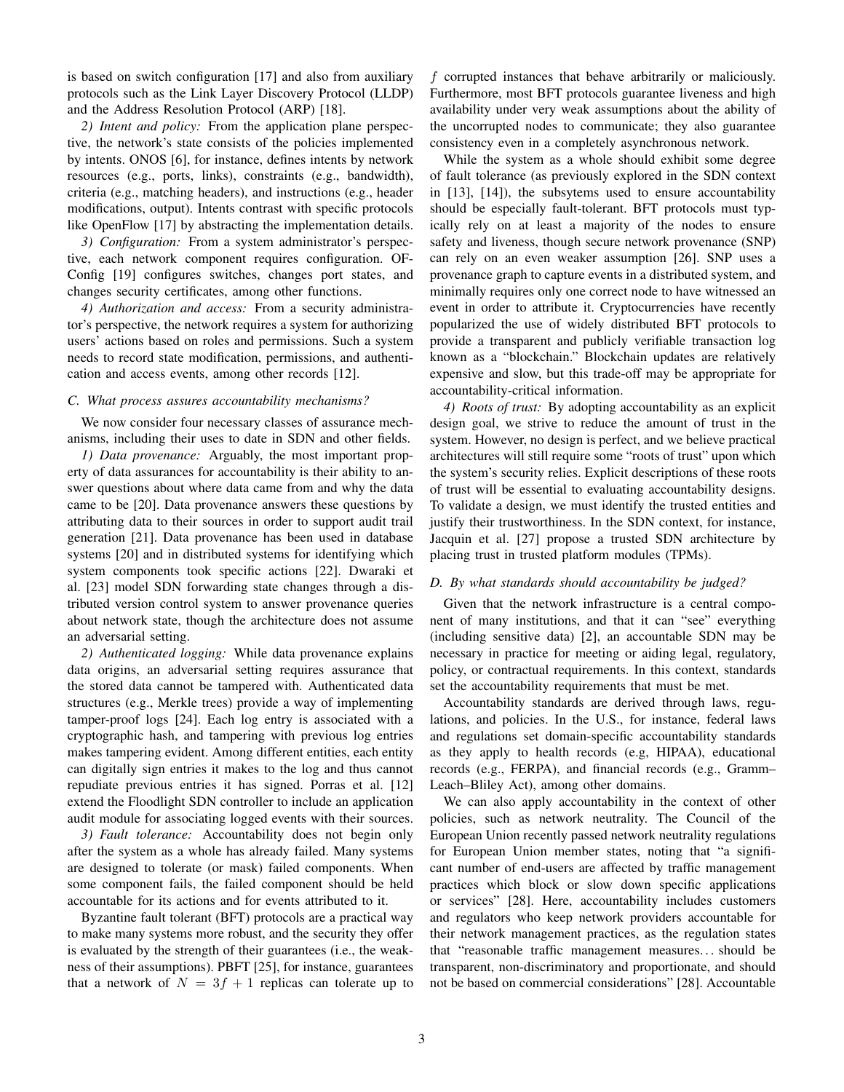is based on switch configuration [17] and also from auxiliary protocols such as the Link Layer Discovery Protocol (LLDP) and the Address Resolution Protocol (ARP) [18].

*2) Intent and policy:* From the application plane perspective, the network's state consists of the policies implemented by intents. ONOS [6], for instance, defines intents by network resources (e.g., ports, links), constraints (e.g., bandwidth), criteria (e.g., matching headers), and instructions (e.g., header modifications, output). Intents contrast with specific protocols like OpenFlow [17] by abstracting the implementation details.

*3) Configuration:* From a system administrator's perspective, each network component requires configuration. OF-Config [19] configures switches, changes port states, and changes security certificates, among other functions.

*4) Authorization and access:* From a security administrator's perspective, the network requires a system for authorizing users' actions based on roles and permissions. Such a system needs to record state modification, permissions, and authentication and access events, among other records [12].

# *C. What process assures accountability mechanisms?*

We now consider four necessary classes of assurance mechanisms, including their uses to date in SDN and other fields.

*1) Data provenance:* Arguably, the most important property of data assurances for accountability is their ability to answer questions about where data came from and why the data came to be [20]. Data provenance answers these questions by attributing data to their sources in order to support audit trail generation [21]. Data provenance has been used in database systems [20] and in distributed systems for identifying which system components took specific actions [22]. Dwaraki et al. [23] model SDN forwarding state changes through a distributed version control system to answer provenance queries about network state, though the architecture does not assume an adversarial setting.

*2) Authenticated logging:* While data provenance explains data origins, an adversarial setting requires assurance that the stored data cannot be tampered with. Authenticated data structures (e.g., Merkle trees) provide a way of implementing tamper-proof logs [24]. Each log entry is associated with a cryptographic hash, and tampering with previous log entries makes tampering evident. Among different entities, each entity can digitally sign entries it makes to the log and thus cannot repudiate previous entries it has signed. Porras et al. [12] extend the Floodlight SDN controller to include an application audit module for associating logged events with their sources.

*3) Fault tolerance:* Accountability does not begin only after the system as a whole has already failed. Many systems are designed to tolerate (or mask) failed components. When some component fails, the failed component should be held accountable for its actions and for events attributed to it.

Byzantine fault tolerant (BFT) protocols are a practical way to make many systems more robust, and the security they offer is evaluated by the strength of their guarantees (i.e., the weakness of their assumptions). PBFT [25], for instance, guarantees that a network of  $N = 3f + 1$  replicas can tolerate up to

f corrupted instances that behave arbitrarily or maliciously. Furthermore, most BFT protocols guarantee liveness and high availability under very weak assumptions about the ability of the uncorrupted nodes to communicate; they also guarantee consistency even in a completely asynchronous network.

While the system as a whole should exhibit some degree of fault tolerance (as previously explored in the SDN context in [13], [14]), the subsytems used to ensure accountability should be especially fault-tolerant. BFT protocols must typically rely on at least a majority of the nodes to ensure safety and liveness, though secure network provenance (SNP) can rely on an even weaker assumption [26]. SNP uses a provenance graph to capture events in a distributed system, and minimally requires only one correct node to have witnessed an event in order to attribute it. Cryptocurrencies have recently popularized the use of widely distributed BFT protocols to provide a transparent and publicly verifiable transaction log known as a "blockchain." Blockchain updates are relatively expensive and slow, but this trade-off may be appropriate for accountability-critical information.

*4) Roots of trust:* By adopting accountability as an explicit design goal, we strive to reduce the amount of trust in the system. However, no design is perfect, and we believe practical architectures will still require some "roots of trust" upon which the system's security relies. Explicit descriptions of these roots of trust will be essential to evaluating accountability designs. To validate a design, we must identify the trusted entities and justify their trustworthiness. In the SDN context, for instance, Jacquin et al. [27] propose a trusted SDN architecture by placing trust in trusted platform modules (TPMs).

# *D. By what standards should accountability be judged?*

Given that the network infrastructure is a central component of many institutions, and that it can "see" everything (including sensitive data) [2], an accountable SDN may be necessary in practice for meeting or aiding legal, regulatory, policy, or contractual requirements. In this context, standards set the accountability requirements that must be met.

Accountability standards are derived through laws, regulations, and policies. In the U.S., for instance, federal laws and regulations set domain-specific accountability standards as they apply to health records (e.g, HIPAA), educational records (e.g., FERPA), and financial records (e.g., Gramm– Leach–Bliley Act), among other domains.

We can also apply accountability in the context of other policies, such as network neutrality. The Council of the European Union recently passed network neutrality regulations for European Union member states, noting that "a significant number of end-users are affected by traffic management practices which block or slow down specific applications or services" [28]. Here, accountability includes customers and regulators who keep network providers accountable for their network management practices, as the regulation states that "reasonable traffic management measures. . . should be transparent, non-discriminatory and proportionate, and should not be based on commercial considerations" [28]. Accountable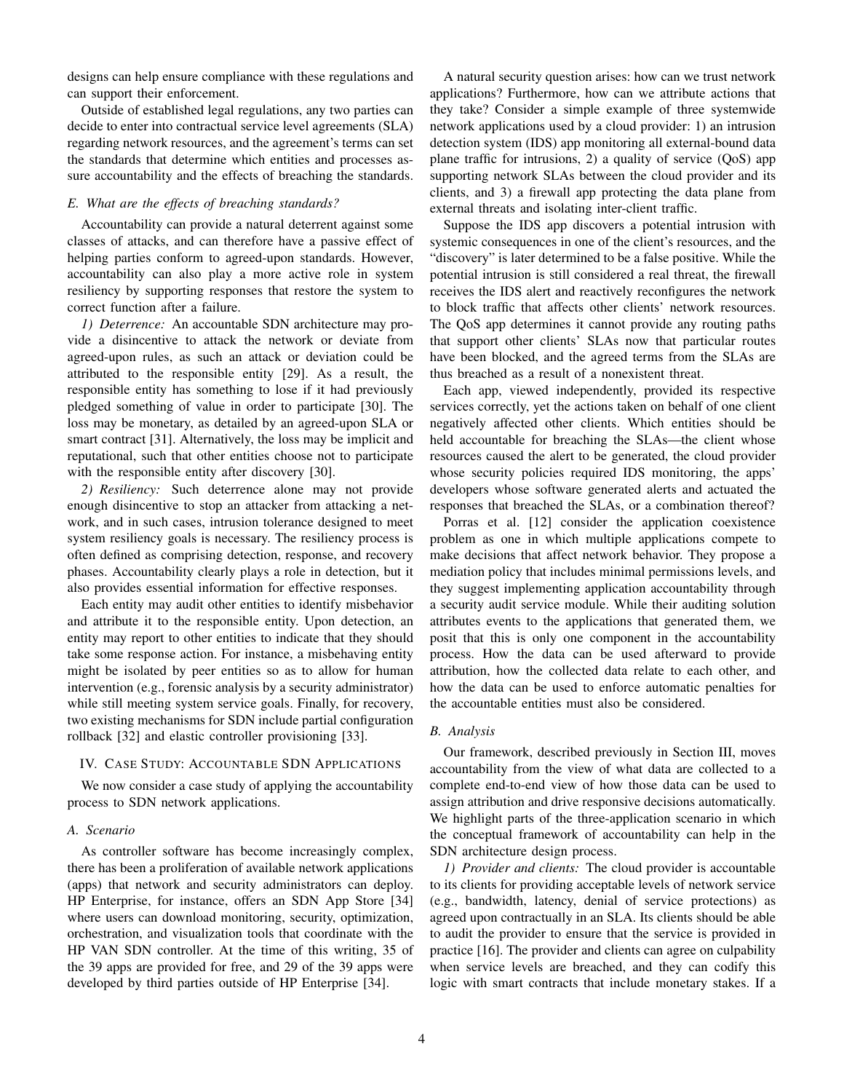designs can help ensure compliance with these regulations and can support their enforcement.

Outside of established legal regulations, any two parties can decide to enter into contractual service level agreements (SLA) regarding network resources, and the agreement's terms can set the standards that determine which entities and processes assure accountability and the effects of breaching the standards.

# *E. What are the effects of breaching standards?*

Accountability can provide a natural deterrent against some classes of attacks, and can therefore have a passive effect of helping parties conform to agreed-upon standards. However, accountability can also play a more active role in system resiliency by supporting responses that restore the system to correct function after a failure.

*1) Deterrence:* An accountable SDN architecture may provide a disincentive to attack the network or deviate from agreed-upon rules, as such an attack or deviation could be attributed to the responsible entity [29]. As a result, the responsible entity has something to lose if it had previously pledged something of value in order to participate [30]. The loss may be monetary, as detailed by an agreed-upon SLA or smart contract [31]. Alternatively, the loss may be implicit and reputational, such that other entities choose not to participate with the responsible entity after discovery [30].

*2) Resiliency:* Such deterrence alone may not provide enough disincentive to stop an attacker from attacking a network, and in such cases, intrusion tolerance designed to meet system resiliency goals is necessary. The resiliency process is often defined as comprising detection, response, and recovery phases. Accountability clearly plays a role in detection, but it also provides essential information for effective responses.

Each entity may audit other entities to identify misbehavior and attribute it to the responsible entity. Upon detection, an entity may report to other entities to indicate that they should take some response action. For instance, a misbehaving entity might be isolated by peer entities so as to allow for human intervention (e.g., forensic analysis by a security administrator) while still meeting system service goals. Finally, for recovery, two existing mechanisms for SDN include partial configuration rollback [32] and elastic controller provisioning [33].

## IV. CASE STUDY: ACCOUNTABLE SDN APPLICATIONS

We now consider a case study of applying the accountability process to SDN network applications.

# *A. Scenario*

As controller software has become increasingly complex, there has been a proliferation of available network applications (apps) that network and security administrators can deploy. HP Enterprise, for instance, offers an SDN App Store [34] where users can download monitoring, security, optimization, orchestration, and visualization tools that coordinate with the HP VAN SDN controller. At the time of this writing, 35 of the 39 apps are provided for free, and 29 of the 39 apps were developed by third parties outside of HP Enterprise [34].

A natural security question arises: how can we trust network applications? Furthermore, how can we attribute actions that they take? Consider a simple example of three systemwide network applications used by a cloud provider: 1) an intrusion detection system (IDS) app monitoring all external-bound data plane traffic for intrusions, 2) a quality of service (QoS) app supporting network SLAs between the cloud provider and its clients, and 3) a firewall app protecting the data plane from external threats and isolating inter-client traffic.

Suppose the IDS app discovers a potential intrusion with systemic consequences in one of the client's resources, and the "discovery" is later determined to be a false positive. While the potential intrusion is still considered a real threat, the firewall receives the IDS alert and reactively reconfigures the network to block traffic that affects other clients' network resources. The QoS app determines it cannot provide any routing paths that support other clients' SLAs now that particular routes have been blocked, and the agreed terms from the SLAs are thus breached as a result of a nonexistent threat.

Each app, viewed independently, provided its respective services correctly, yet the actions taken on behalf of one client negatively affected other clients. Which entities should be held accountable for breaching the SLAs—the client whose resources caused the alert to be generated, the cloud provider whose security policies required IDS monitoring, the apps' developers whose software generated alerts and actuated the responses that breached the SLAs, or a combination thereof?

Porras et al. [12] consider the application coexistence problem as one in which multiple applications compete to make decisions that affect network behavior. They propose a mediation policy that includes minimal permissions levels, and they suggest implementing application accountability through a security audit service module. While their auditing solution attributes events to the applications that generated them, we posit that this is only one component in the accountability process. How the data can be used afterward to provide attribution, how the collected data relate to each other, and how the data can be used to enforce automatic penalties for the accountable entities must also be considered.

#### *B. Analysis*

Our framework, described previously in Section III, moves accountability from the view of what data are collected to a complete end-to-end view of how those data can be used to assign attribution and drive responsive decisions automatically. We highlight parts of the three-application scenario in which the conceptual framework of accountability can help in the SDN architecture design process.

*1) Provider and clients:* The cloud provider is accountable to its clients for providing acceptable levels of network service (e.g., bandwidth, latency, denial of service protections) as agreed upon contractually in an SLA. Its clients should be able to audit the provider to ensure that the service is provided in practice [16]. The provider and clients can agree on culpability when service levels are breached, and they can codify this logic with smart contracts that include monetary stakes. If a